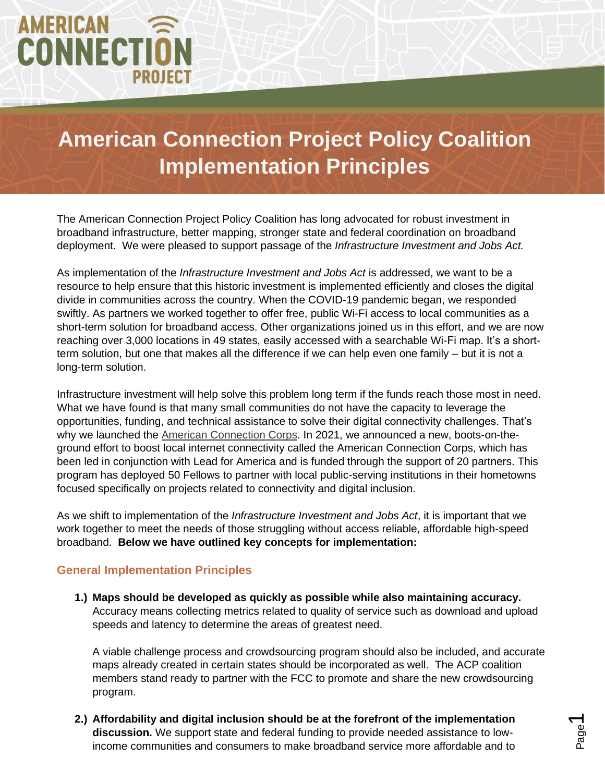# AMERICAN **CONNECTION PROJECT**

## **American Connection Project Policy Coalition Implementation Principles**

The American Connection Project Policy Coalition has long advocated for robust investment in broadband infrastructure, better mapping, stronger state and federal coordination on broadband deployment. We were pleased to support passage of the *Infrastructure Investment and Jobs Act.*

As implementation of the *Infrastructure Investment and Jobs Act* is addressed, we want to be a resource to help ensure that this historic investment is implemented efficiently and closes the digital divide in communities across the country. When the COVID-19 pandemic began, we responded swiftly. As partners we worked together to offer free, public Wi-Fi access to local communities as a short-term solution for broadband access. Other organizations joined us in this effort, and we are now reaching over 3,000 locations in 49 states, easily accessed with a searchable Wi-Fi map. It's a shortterm solution, but one that makes all the difference if we can help even one family – but it is not a long-term solution.

Infrastructure investment will help solve this problem long term if the funds reach those most in need. What we have found is that many small communities do not have the capacity to leverage the opportunities, funding, and technical assistance to solve their digital connectivity challenges. That's why we launched the [American Connection Corps.](https://www.americanconnectionproject.com/articles/about-the-american-connection-corps/) In 2021, we announced a new, boots-on-theground effort to boost local internet connectivity called the American Connection Corps, which has been led in conjunction with Lead for America and is funded through the support of 20 partners. This program has deployed 50 Fellows to partner with local public-serving institutions in their hometowns focused specifically on projects related to connectivity and digital inclusion.

As we shift to implementation of the *Infrastructure Investment and Jobs Act*, it is important that we work together to meet the needs of those struggling without access reliable, affordable high-speed broadband. **Below we have outlined key concepts for implementation:** 

#### **General Implementation Principles**

**1.) Maps should be developed as quickly as possible while also maintaining accuracy.** Accuracy means collecting metrics related to quality of service such as download and upload speeds and latency to determine the areas of greatest need.

A viable challenge process and crowdsourcing program should also be included, and accurate maps already created in certain states should be incorporated as well. The ACP coalition members stand ready to partner with the FCC to promote and share the new crowdsourcing program.

**2.) Affordability and digital inclusion should be at the forefront of the implementation discussion.** We support state and federal funding to provide needed assistance to lowincome communities and consumers to make broadband service more affordable and to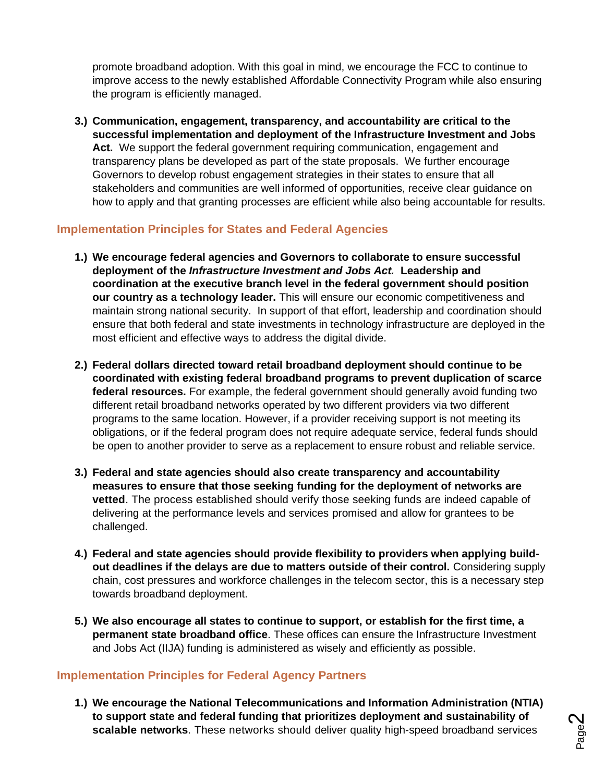promote broadband adoption. With this goal in mind, we encourage the FCC to continue to improve access to the newly established Affordable Connectivity Program while also ensuring the program is efficiently managed.

**3.) Communication, engagement, transparency, and accountability are critical to the successful implementation and deployment of the Infrastructure Investment and Jobs Act.** We support the federal government requiring communication, engagement and transparency plans be developed as part of the state proposals. We further encourage Governors to develop robust engagement strategies in their states to ensure that all stakeholders and communities are well informed of opportunities, receive clear guidance on how to apply and that granting processes are efficient while also being accountable for results.

#### **Implementation Principles for States and Federal Agencies**

- **1.) We encourage federal agencies and Governors to collaborate to ensure successful deployment of the** *Infrastructure Investment and Jobs Act.* **Leadership and coordination at the executive branch level in the federal government should position our country as a technology leader.** This will ensure our economic competitiveness and maintain strong national security. In support of that effort, leadership and coordination should ensure that both federal and state investments in technology infrastructure are deployed in the most efficient and effective ways to address the digital divide.
- **2.) Federal dollars directed toward retail broadband deployment should continue to be coordinated with existing federal broadband programs to prevent duplication of scarce federal resources.** For example, the federal government should generally avoid funding two different retail broadband networks operated by two different providers via two different programs to the same location. However, if a provider receiving support is not meeting its obligations, or if the federal program does not require adequate service, federal funds should be open to another provider to serve as a replacement to ensure robust and reliable service.
- **3.) Federal and state agencies should also create transparency and accountability measures to ensure that those seeking funding for the deployment of networks are vetted**. The process established should verify those seeking funds are indeed capable of delivering at the performance levels and services promised and allow for grantees to be challenged.
- **4.) Federal and state agencies should provide flexibility to providers when applying buildout deadlines if the delays are due to matters outside of their control.** Considering supply chain, cost pressures and workforce challenges in the telecom sector, this is a necessary step towards broadband deployment.
- **5.) We also encourage all states to continue to support, or establish for the first time, a permanent state broadband office**. These offices can ensure the Infrastructure Investment and Jobs Act (IIJA) funding is administered as wisely and efficiently as possible.

#### **Implementation Principles for Federal Agency Partners**

**1.) We encourage the National Telecommunications and Information Administration (NTIA) to support state and federal funding that prioritizes deployment and sustainability of scalable networks**. These networks should deliver quality high-speed broadband services

Page  $\boldsymbol{\sim}$